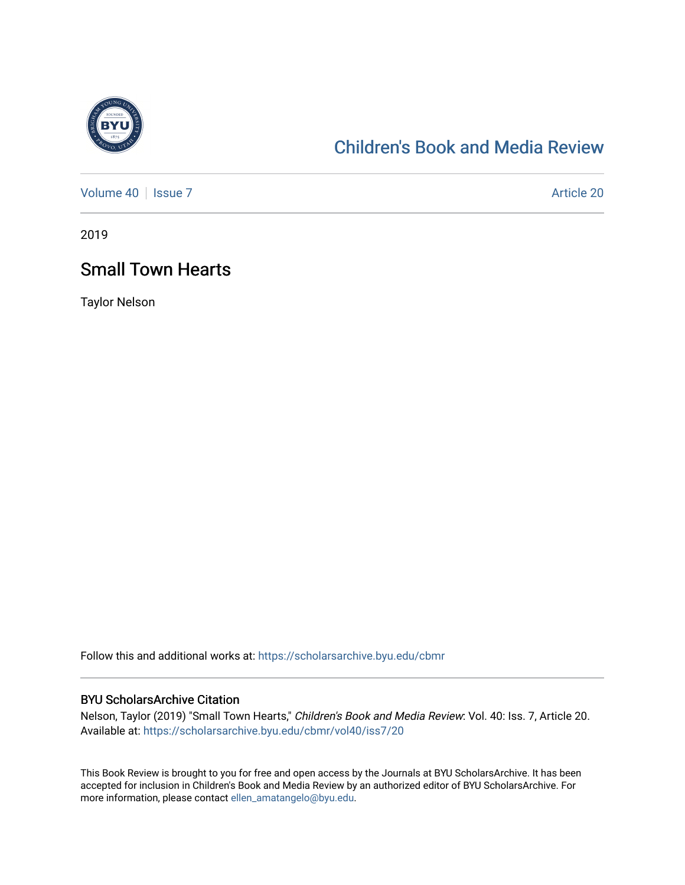

# [Children's Book and Media Review](https://scholarsarchive.byu.edu/cbmr)

[Volume 40](https://scholarsarchive.byu.edu/cbmr/vol40) | [Issue 7](https://scholarsarchive.byu.edu/cbmr/vol40/iss7) Article 20

2019

# Small Town Hearts

Taylor Nelson

Follow this and additional works at: [https://scholarsarchive.byu.edu/cbmr](https://scholarsarchive.byu.edu/cbmr?utm_source=scholarsarchive.byu.edu%2Fcbmr%2Fvol40%2Fiss7%2F20&utm_medium=PDF&utm_campaign=PDFCoverPages) 

#### BYU ScholarsArchive Citation

Nelson, Taylor (2019) "Small Town Hearts," Children's Book and Media Review: Vol. 40: Iss. 7, Article 20. Available at: [https://scholarsarchive.byu.edu/cbmr/vol40/iss7/20](https://scholarsarchive.byu.edu/cbmr/vol40/iss7/20?utm_source=scholarsarchive.byu.edu%2Fcbmr%2Fvol40%2Fiss7%2F20&utm_medium=PDF&utm_campaign=PDFCoverPages)

This Book Review is brought to you for free and open access by the Journals at BYU ScholarsArchive. It has been accepted for inclusion in Children's Book and Media Review by an authorized editor of BYU ScholarsArchive. For more information, please contact [ellen\\_amatangelo@byu.edu.](mailto:ellen_amatangelo@byu.edu)